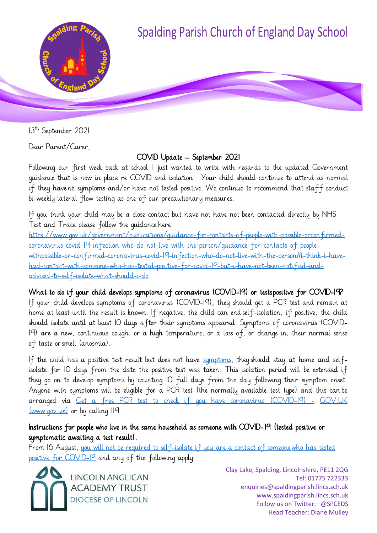

13<sup>th</sup> September 2021

Dear Parent/Carer,

# COVID Update – September 2021

Following our first week back at school I just wanted to write with regards to the updated Government guidance that is now in place re COVID and isolation. Your child should continue to attend as normal if they have no symptoms and/or have not tested positive. We continue to recommend that staff conduct bi-weekly lateral flow testing as one of our precautionary measures.

If you think your child may be a close contact but have not have not been contacted directly by NHS Test and Trace please follow the guidance here:

<https://www.gov.uk/government/publications/guidance-for-contacts-of-people->[with-possible-orconfirmed](https://www.gov.uk/government/publications/guidance-for-contacts-of-people-with-possible-or-confirmed-coronavirus-covid-19-infection-who-do-not-live-with-the-person/guidance-for-contacts-of-people-with-possible-or-confirmed-coronavirus-covid-19-infection-who-do-not-live-with-the-person#i-think-i-have-had-contact-with-someone-who-has-tested-positive-for-covid-19-but-i-have-not-been-notified-and-advised-to-self-isolate-what-should-i-do)[coronavirus-covid-19-infection-who-do-not-live-with-the-person/guidance-for-contacts-of-people](https://www.gov.uk/government/publications/guidance-for-contacts-of-people-with-possible-or-confirmed-coronavirus-covid-19-infection-who-do-not-live-with-the-person/guidance-for-contacts-of-people-with-possible-or-confirmed-coronavirus-covid-19-infection-who-do-not-live-with-the-person#i-think-i-have-had-contact-with-someone-who-has-tested-positive-for-covid-19-but-i-have-not-been-notified-and-advised-to-self-isolate-what-should-i-do)[withpossible-or-confirmed-coronavirus-covid-19-infection-who-do-not-live-with-the-person#i-think-i-have](https://www.gov.uk/government/publications/guidance-for-contacts-of-people-with-possible-or-confirmed-coronavirus-covid-19-infection-who-do-not-live-with-the-person/guidance-for-contacts-of-people-with-possible-or-confirmed-coronavirus-covid-19-infection-who-do-not-live-with-the-person#i-think-i-have-had-contact-with-someone-who-has-tested-positive-for-covid-19-but-i-have-not-been-notified-and-advised-to-self-isolate-what-should-i-do)[had-contact-with-s](https://www.gov.uk/government/publications/guidance-for-contacts-of-people-with-possible-or-confirmed-coronavirus-covid-19-infection-who-do-not-live-with-the-person/guidance-for-contacts-of-people-with-possible-or-confirmed-coronavirus-covid-19-infection-who-do-not-live-with-the-person#i-think-i-have-had-contact-with-someone-who-has-tested-positive-for-covid-19-but-i-have-not-been-notified-and-advised-to-self-isolate-what-should-i-do)omeone-who-has-tested-positive-for-covid-19-but-i-have-not-been-notified-and[advised-to-self-isolate-what-should-i-do](https://www.gov.uk/government/publications/guidance-for-contacts-of-people-with-possible-or-confirmed-coronavirus-covid-19-infection-who-do-not-live-with-the-person/guidance-for-contacts-of-people-with-possible-or-confirmed-coronavirus-covid-19-infection-who-do-not-live-with-the-person#i-think-i-have-had-contact-with-someone-who-has-tested-positive-for-covid-19-but-i-have-not-been-notified-and-advised-to-self-isolate-what-should-i-do)

## What to do if your child develops symptoms of coronavirus (COVID-19) or tests positive for COVID-19?

If your child develops symptoms of coronavirus (COVID-19), they should get a PCR test and remain at home at least until the result is known. If negative, the child can end self-isolation; if positive, the child should isolate until at least 10 days after their symptoms appeared. Symptoms of coronavirus (COVID-19) are a new, continuous cough, or a high temperature, or a loss of, or change in, their normal sense of taste orsmell (anosmia).

If the child has a positive test result but does not have [symptoms,](https://www.gov.uk/government/publications/covid-19-stay-at-home-guidance/stay-at-home-guidance-for-households-with-possible-coronavirus-covid-19-infection#symptoms) they should stay at home and selfisolate for 10 days from the date the positive test was taken. This isolation period will be extended if they go on to develop symptoms by counting 10 full days from the day following their symptom onset. Anyone with symptoms will be eligible for a PCR test (the normally available test type) and this can be arranged via [Get a free PCR test to check if you have coronavirus \(COVID-19\) -](https://www.gov.uk/get-coronavirus-test) [GOV.UK](https://www.gov.uk/get-coronavirus-test) [\(www.gov.uk\)](https://www.gov.uk/get-coronavirus-test) or by calling 119.

## Instructions for people who live in the same household as someone with COVID- 19 (tested positive or symptomatic awaiting a test result).

From 16 August, you will not be required to [self-isolate](https://www.gov.uk/government/publications/covid-19-stay-at-home-guidance/stay-at-home-guidance-for-households-with-possible-coronavirus-covid-19-infection#exempt) if you are a contact of someonewho [has tested](https://www.gov.uk/government/publications/covid-19-stay-at-home-guidance/stay-at-home-guidance-for-households-with-possible-coronavirus-covid-19-infection#exempt) positive [for COVID-19](https://www.gov.uk/government/publications/covid-19-stay-at-home-guidance/stay-at-home-guidance-for-households-with-possible-coronavirus-covid-19-infection#exempt) and any of the following apply:

**LINCOLN ANGLICAN ACADEMY TRUST DIOCESE OF LINCOLN**  Clay Lake, Spalding, Lincolnshire, PE11 2QG Tel: 01775 722333 enquiries@spaldingparish.lincs.sch.uk www.spaldingparish.lincs.sch.uk Follow us on Twitter: @SPCEDS Head Teacher: Diane Mulley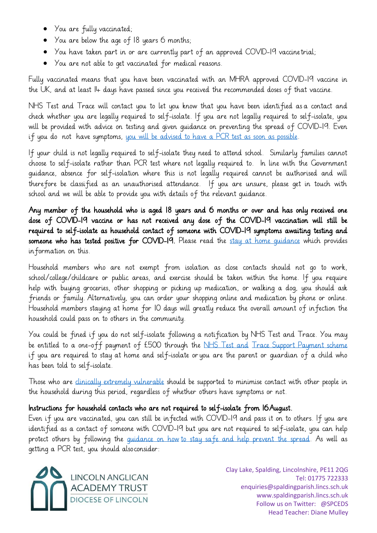- You are fully vaccinated;
- You are below the age of 18 years 6 months;
- You have taken part in or are currently part of an approved COVID-19 vaccinetrial;
- You are not able to get vaccinated for medical reasons.

Fully vaccinated means that you have been vaccinated with an MHRA approved COVID-19 vaccine in the UK, and at least 14 days have passed since you received the recommended doses of that vaccine.

NHS Test and Trace will contact you to let you know that you have been identified as a contact and check whether you are legally required to self-isolate. If you are not legally required to self-isolate, you will be provided with advice on testing and given guidance on preventing the spread of COVID-19. Even if you do not have symptoms, you will [be advised to](https://www.gov.uk/government/publications/covid-19-stay-at-home-guidance/stay-at-home-guidance-for-households-with-possible-coronavirus-covid-19-infection#PCR) have a PCR test as soon as possible.

If your child is not legally required to self-isolate they need to attend school. Similarly families cannot choose to self-isolate rather than PCR test where not legally required to. In line with the Government guidance, absence for self-isolation where this is not legally required cannot be authorised and will therefore be classified as an unauthorised attendance. If you are unsure, please get in touch with school and we will be able to provide you with details of the relevant guidance.

Any member of the household who is aged 18 years and 6 months or over and has only received one dose of COVID-19 vaccine or has not received any dose of the COVID-19 vaccination will still be required to self-isolate as household contact of someone with COVID-19 symptoms awaiting testing and someone who has tested positive for COVID-19. Please read the [stay at home guidance](https://www.gov.uk/government/publications/covid-19-stay-at-home-guidance) which provides information on this.

Household members who are not exempt from isolation as close contacts should not go to work, school/college/childcare or public areas, and exercise should be taken within the home. If you require help with buying groceries, other shopping or picking up medication, or walking a dog, you should ask friends or family. Alternatively, you can order your shopping online and medication by phone or online. Household members staying at home for 10 days will greatly reduce the overall amount of infection the household could pass on to others in the community.

You could be fined if you do not self-isolate following a notification by NHS Test and Trace. You may be entitled to a one-off payment of £500 through the [NHS Test and](https://www.gov.uk/government/publications/test-and-trace-support-payment-scheme-claiming-financial-support/claiming-financial-support-under-the-test-and-trace-support-payment-scheme) Trace Support [Payment](https://www.gov.uk/government/publications/test-and-trace-support-payment-scheme-claiming-financial-support/claiming-financial-support-under-the-test-and-trace-support-payment-scheme) scheme if you are required to stay at home and self-isolate oryou are the parent or guardian of a child who has been told to self-isolate.

Those who are [clinically extremely vulnerable](https://www.gov.uk/government/publications/guidance-on-shielding-and-protecting-extremely-vulnerable-persons-from-covid-19/guidance-on-shielding-and-protecting-extremely-vulnerable-persons-from-covid-19) should be supported to minimise contact with other people in the household during this period, regardless of whether others have symptoms or not.

# Instructions for household contacts who are not required to self-isolate from 16 August.

Even if you are vaccinated, you can still be infected with COVID-19 and pass it on to others. If you are identified as a contact of someone with COVID-19 but you are not required to self-isolate, you can help protect others by following the quidance on how to stay safe and help [prevent](https://www.gov.uk/guidance/covid-19-coronavirus-restrictions-what-you-can-and-cannot-do#keeping-yourself-and-others-safe) the spread. As well as getting a PCR test, you should alsoconsider:



Clay Lake, Spalding, Lincolnshire, PE11 2QG Tel: 01775 722333 enquiries@spaldingparish.lincs.sch.uk www.spaldingparish.lincs.sch.uk Follow us on Twitter: @SPCEDS Head Teacher: Diane Mulley